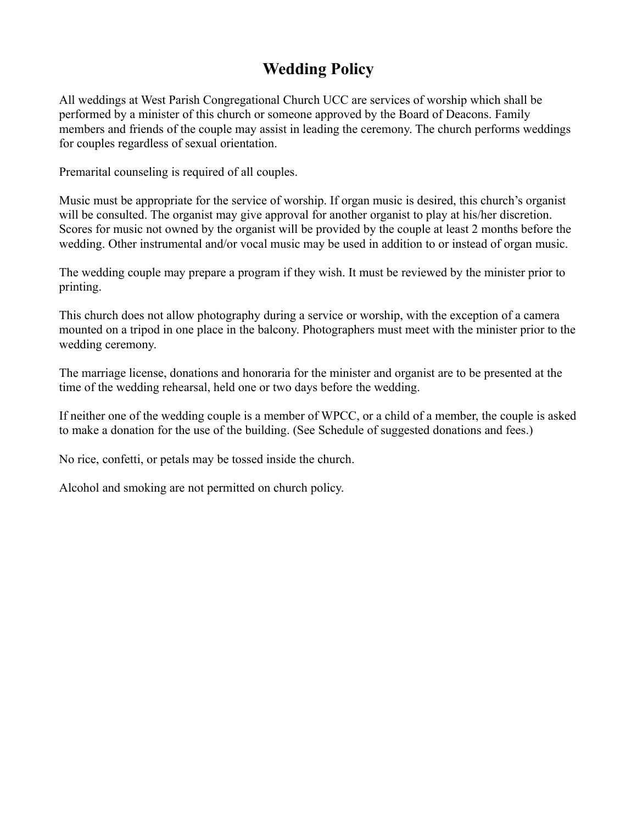## **Wedding Policy**

All weddings at West Parish Congregational Church UCC are services of worship which shall be performed by a minister of this church or someone approved by the Board of Deacons. Family members and friends of the couple may assist in leading the ceremony. The church performs weddings for couples regardless of sexual orientation.

Premarital counseling is required of all couples.

Music must be appropriate for the service of worship. If organ music is desired, this church's organist will be consulted. The organist may give approval for another organist to play at his/her discretion. Scores for music not owned by the organist will be provided by the couple at least 2 months before the wedding. Other instrumental and/or vocal music may be used in addition to or instead of organ music.

The wedding couple may prepare a program if they wish. It must be reviewed by the minister prior to printing.

This church does not allow photography during a service or worship, with the exception of a camera mounted on a tripod in one place in the balcony. Photographers must meet with the minister prior to the wedding ceremony.

The marriage license, donations and honoraria for the minister and organist are to be presented at the time of the wedding rehearsal, held one or two days before the wedding.

If neither one of the wedding couple is a member of WPCC, or a child of a member, the couple is asked to make a donation for the use of the building. (See Schedule of suggested donations and fees.)

No rice, confetti, or petals may be tossed inside the church.

Alcohol and smoking are not permitted on church policy.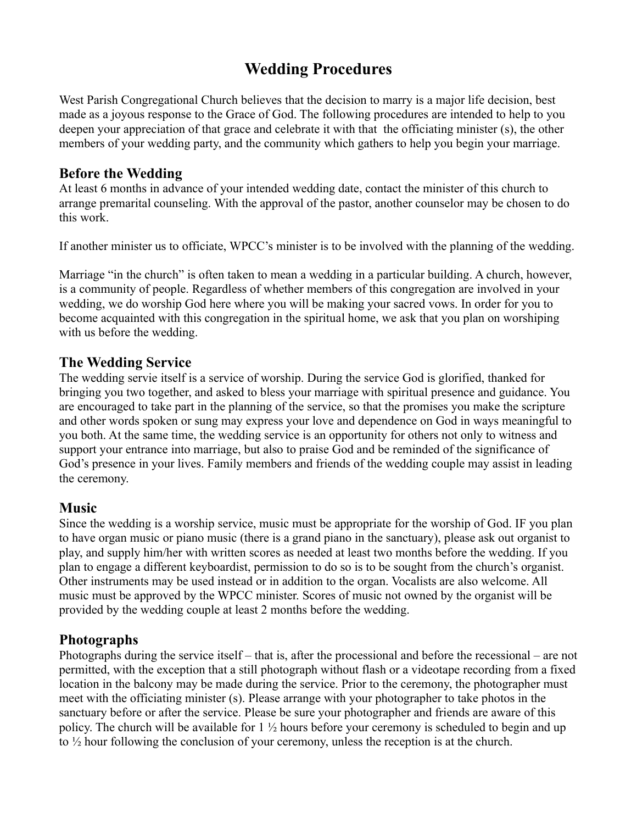# **Wedding Procedures**

West Parish Congregational Church believes that the decision to marry is a major life decision, best made as a joyous response to the Grace of God. The following procedures are intended to help to you deepen your appreciation of that grace and celebrate it with that the officiating minister (s), the other members of your wedding party, and the community which gathers to help you begin your marriage.

#### **Before the Wedding**

At least 6 months in advance of your intended wedding date, contact the minister of this church to arrange premarital counseling. With the approval of the pastor, another counselor may be chosen to do this work.

If another minister us to officiate, WPCC's minister is to be involved with the planning of the wedding.

Marriage "in the church" is often taken to mean a wedding in a particular building. A church, however, is a community of people. Regardless of whether members of this congregation are involved in your wedding, we do worship God here where you will be making your sacred vows. In order for you to become acquainted with this congregation in the spiritual home, we ask that you plan on worshiping with us before the wedding.

### **The Wedding Service**

The wedding servie itself is a service of worship. During the service God is glorified, thanked for bringing you two together, and asked to bless your marriage with spiritual presence and guidance. You are encouraged to take part in the planning of the service, so that the promises you make the scripture and other words spoken or sung may express your love and dependence on God in ways meaningful to you both. At the same time, the wedding service is an opportunity for others not only to witness and support your entrance into marriage, but also to praise God and be reminded of the significance of God's presence in your lives. Family members and friends of the wedding couple may assist in leading the ceremony.

## **Music**

Since the wedding is a worship service, music must be appropriate for the worship of God. IF you plan to have organ music or piano music (there is a grand piano in the sanctuary), please ask out organist to play, and supply him/her with written scores as needed at least two months before the wedding. If you plan to engage a different keyboardist, permission to do so is to be sought from the church's organist. Other instruments may be used instead or in addition to the organ. Vocalists are also welcome. All music must be approved by the WPCC minister. Scores of music not owned by the organist will be provided by the wedding couple at least 2 months before the wedding.

## **Photographs**

Photographs during the service itself – that is, after the processional and before the recessional – are not permitted, with the exception that a still photograph without flash or a videotape recording from a fixed location in the balcony may be made during the service. Prior to the ceremony, the photographer must meet with the officiating minister (s). Please arrange with your photographer to take photos in the sanctuary before or after the service. Please be sure your photographer and friends are aware of this policy. The church will be available for 1 ½ hours before your ceremony is scheduled to begin and up to ½ hour following the conclusion of your ceremony, unless the reception is at the church.